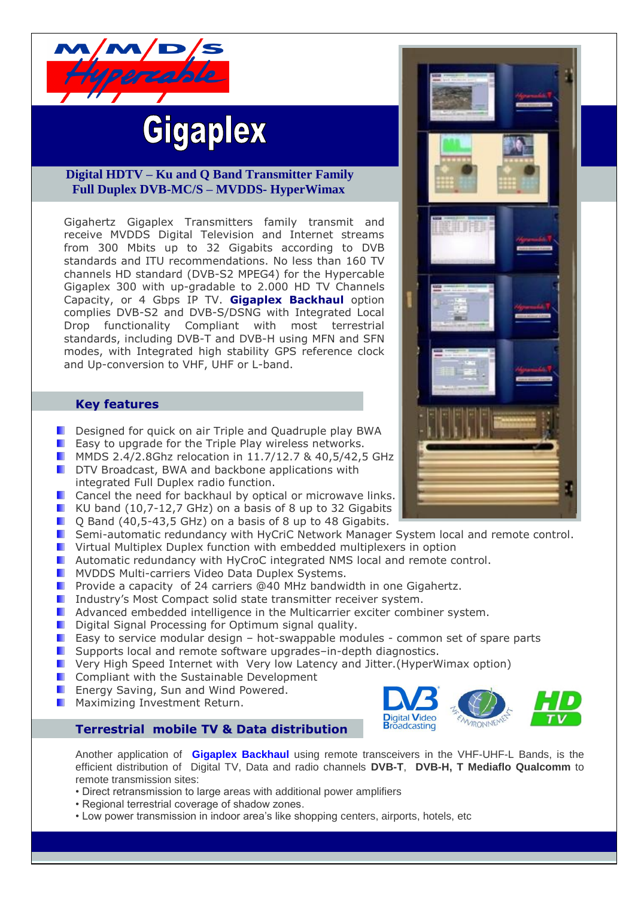

# **Gigaplex**

## **Digital HDTV – Ku and Q Band Transmitter Family Full Duplex DVB-MC/S – MVDDS- HyperWimax**

Gigahertz Gigaplex Transmitters family transmit and receive MVDDS Digital Television and Internet streams from 300 Mbits up to 32 Gigabits according to DVB standards and ITU recommendations. No less than 160 TV channels HD standard (DVB-S2 MPEG4) for the Hypercable Gigaplex 300 with up-gradable to 2.000 HD TV Channels Capacity, or 4 Gbps IP TV. **Gigaplex Backhaul** option complies DVB-S2 and DVB-S/DSNG with Integrated Local Drop functionality Compliant with most terrestrial standards, including DVB-T and DVB-H using MFN and SFN modes, with Integrated high stability GPS reference clock and Up-conversion to VHF, UHF or L-band.

### **Key features**

- Designed for quick on air Triple and Quadruple play BWA
- **E** Easy to upgrade for the Triple Play wireless networks.
- **MMDS 2.4/2.8Ghz relocation in 11.7/12.7 & 40,5/42,5 GHz**
- **DETE** DTV Broadcast, BWA and backbone applications with integrated Full Duplex radio function.
- **D** Cancel the need for backhaul by optical or microwave links.
- KU band (10,7-12,7 GHz) on a basis of 8 up to 32 Gigabits
- **D** O Band (40,5-43,5 GHz) on a basis of 8 up to 48 Gigabits.
- Semi-automatic redundancy with HyCriC Network Manager System local and remote control.
- **U** Virtual Multiplex Duplex function with embedded multiplexers in option
- **Automatic redundancy with HyCroC integrated NMS local and remote control.**
- **MYDDS Multi-carriers Video Data Duplex Systems.**
- Provide a capacity of 24 carriers @40 MHz bandwidth in one Gigahertz.
- **I** Industry's Most Compact solid state transmitter receiver system.
- Advanced embedded intelligence in the Multicarrier exciter combiner system.
- $\Box$  Digital Signal Processing for Optimum signal quality.
- **E** Easy to service modular design hot-swappable modules common set of spare parts
- Supports local and remote software upgrades–in-depth diagnostics.
- Very High Speed Internet with Very low Latency and Jitter.(HyperWimax option)
- Compliant with the Sustainable Development
- Energy Saving, Sun and Wind Powered.
- Maximizing Investment Return.



Another application of **Gigaplex Backhaul** using remote transceivers in the VHF-UHF-L Bands, is the efficient distribution of Digital TV, Data and radio channels **DVB-T**, **DVB-H, T Mediaflo Qualcomm** to remote transmission sites:

**Digital Video Broadcasting** 

- Direct retransmission to large areas with additional power amplifiers
- Regional terrestrial coverage of shadow zones.
- Low power transmission in indoor area's like shopping centers, airports, hotels, etc